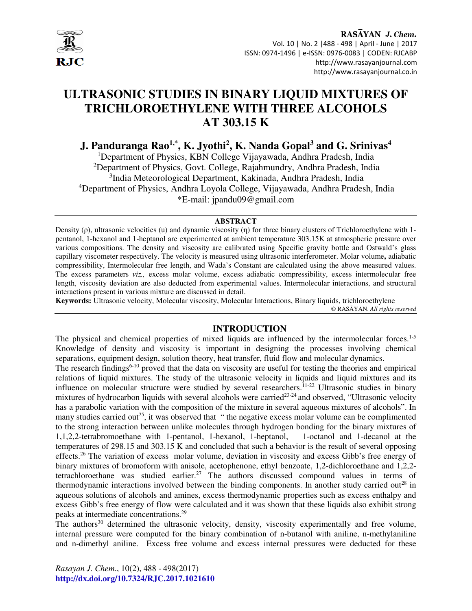

# **ULTRASONIC STUDIES IN BINARY LIQUID MIXTURES OF TRICHLOROETHYLENE WITH THREE ALCOHOLS AT 303.15 K**

**J. Panduranga Rao1,\*, K. Jyothi<sup>2</sup> , K. Nanda Gopal<sup>3</sup> and G. Srinivas<sup>4</sup>**

<sup>1</sup>Department of Physics, KBN College Vijayawada, Andhra Pradesh, India <sup>2</sup>Department of Physics, Govt. College, Rajahmundry, Andhra Pradesh, India 3 India Meteorological Department, Kakinada, Andhra Pradesh, India <sup>4</sup>Department of Physics, Andhra Loyola College, Vijayawada, Andhra Pradesh, India \*E-mail: jpandu09@gmail.com

#### **ABSTRACT**

Density (ρ), ultrasonic velocities (u) and dynamic viscosity (η) for three binary clusters of Trichloroethylene with 1 pentanol, 1-hexanol and 1-heptanol are experimented at ambient temperature 303.15K at atmospheric pressure over various compositions. The density and viscosity are calibrated using Specific gravity bottle and Ostwald's glass capillary viscometer respectively. The velocity is measured using ultrasonic interferometer. Molar volume**,** adiabatic compressibility, Intermolecular free length, and Wada's Constant are calculated using the above measured values. The excess parameters *viz.,* excess molar volume, excess adiabatic compressibility, excess intermolecular free length, viscosity deviation are also deducted from experimental values. Intermolecular interactions, and structural interactions present in various mixture are discussed in detail.

**Keywords:** Ultrasonic velocity, Molecular viscosity, Molecular Interactions, Binary liquids, trichloroethylene © RASĀYAN. *All rights reserved*

# **INTRODUCTION**

The physical and chemical properties of mixed liquids are influenced by the intermolecular forces.<sup>1-5</sup> Knowledge of density and viscosity is important in designing the processes involving chemical separations, equipment design, solution theory, heat transfer, fluid flow and molecular dynamics.

The research findings<sup>6-10</sup> proved that the data on viscosity are useful for testing the theories and empirical relations of liquid mixtures. The study of the ultrasonic velocity in liquids and liquid mixtures and its influence on molecular structure were studied by several researchers.<sup>11-22</sup> Ultrasonic studies in binary mixtures of hydrocarbon liquids with several alcohols were carried<sup>23-24</sup> and observed, "Ultrasonic velocity" has a parabolic variation with the composition of the mixture in several aqueous mixtures of alcohols". In many studies carried out<sup>25</sup>, it was observed that " the negative excess molar volume can be complimented to the strong interaction between unlike molecules through hydrogen bonding for the binary mixtures of 1,1,2,2-tetrabromoethane with 1-pentanol, 1-hexanol, 1-heptanol, 1-octanol and 1-decanol at the temperatures of 298.15 and 303.15 K and concluded that such a behavior is the result of several opposing effects.<sup>26</sup> The variation of excess molar volume, deviation in viscosity and excess Gibb's free energy of binary mixtures of bromoform with anisole, acetophenone, ethyl benzoate, 1,2-dichloroethane and 1,2,2 tetrachloroethane was studied earlier.<sup>27</sup> The authors discussed compound values in terms of thermodynamic interactions involved between the binding components. In another study carried out<sup>28</sup> in aqueous solutions of alcohols and amines, excess thermodynamic properties such as excess enthalpy and excess Gibb's free energy of flow were calculated and it was shown that these liquids also exhibit strong peaks at intermediate concentrations.<sup>29</sup>

The authors<sup>30</sup> determined the ultrasonic velocity, density, viscosity experimentally and free volume, internal pressure were computed for the binary combination of n-butanol with aniline, n-methylaniline and n-dimethyl aniline. Excess free volume and excess internal pressures were deducted for these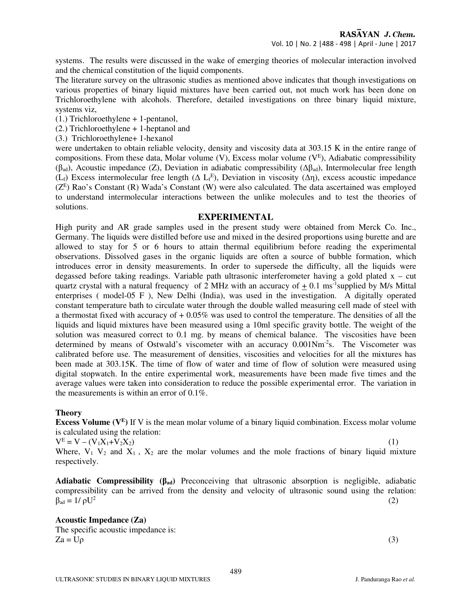systems. The results were discussed in the wake of emerging theories of molecular interaction involved and the chemical constitution of the liquid components.

The literature survey on the ultrasonic studies as mentioned above indicates that though investigations on various properties of binary liquid mixtures have been carried out, not much work has been done on Trichloroethylene with alcohols. Therefore, detailed investigations on three binary liquid mixture, systems viz,

(1.) Trichloroethylene + 1-pentanol,

(2.) Trichloroethylene + 1-heptanol and

(3.) Trichloroethylene+ 1-hexanol

were undertaken to obtain reliable velocity, density and viscosity data at 303.15 K in the entire range of compositions. From these data, Molar volume  $(V)$ , Excess molar volume  $(V^E)$ , Adiabatic compressibility (β<sub>ad</sub>), Acoustic impedance (Z), Deviation in adiabatic compressibility ( $Δβ<sub>ad</sub>$ ), Intermolecular free length (L<sub>f</sub>) Excess intermolecular free length ( $\Delta L_f^E$ ), Deviation in viscosity ( $\Delta \eta$ ), excess acoustic impedance  $(Z<sup>E</sup>)$  Rao's Constant (R) Wada's Constant (W) were also calculated. The data ascertained was employed to understand intermolecular interactions between the unlike molecules and to test the theories of solutions.

#### **EXPERIMENTAL**

High purity and AR grade samples used in the present study were obtained from Merck Co. Inc., Germany. The liquids were distilled before use and mixed in the desired proportions using burette and are allowed to stay for 5 or 6 hours to attain thermal equilibrium before reading the experimental observations. Dissolved gases in the organic liquids are often a source of bubble formation, which introduces error in density measurements. In order to supersede the difficulty, all the liquids were degassed before taking readings. Variable path ultrasonic interferometer having a gold plated x – cut quartz crystal with a natural frequency of 2 MHz with an accuracy of  $+ 0.1 \text{ ms}^{-1}$ supplied by M/s Mittal enterprises ( model-05 F ), New Delhi (India), was used in the investigation. A digitally operated constant temperature bath to circulate water through the double walled measuring cell made of steel with a thermostat fixed with accuracy of + 0.05% was used to control the temperature. The densities of all the liquids and liquid mixtures have been measured using a 10ml specific gravity bottle. The weight of the solution was measured correct to 0.1 mg. by means of chemical balance. The viscosities have been determined by means of Ostwald's viscometer with an accuracy  $0.001$ Nm<sup>-2</sup>s. The Viscometer was calibrated before use. The measurement of densities, viscosities and velocities for all the mixtures has been made at 303.15K. The time of flow of water and time of flow of solution were measured using digital stopwatch. In the entire experimental work, measurements have been made five times and the average values were taken into consideration to reduce the possible experimental error. The variation in the measurements is within an error of 0.1%.

#### **Theory**

**Excess Volume (** $V^E$ **) If V is the mean molar volume of a binary liquid combination. Excess molar volume** is calculated using the relation:

 $V^E = V - (V_1 X_1 + V_2 X_2)$  (1)

Where,  $V_1$   $V_2$  and  $X_1$ ,  $X_2$  are the molar volumes and the mole fractions of binary liquid mixture respectively.

**Adiabatic Compressibility (βad)** Preconceiving that ultrasonic absorption is negligible, adiabatic compressibility can be arrived from the density and velocity of ultrasonic sound using the relation:  $β<sub>ad</sub> = 1/ρU<sup>2</sup>$ (2)

#### **Acoustic Impedance (Za)**  The specific acoustic impedance is:

 $Za = Up$  (3)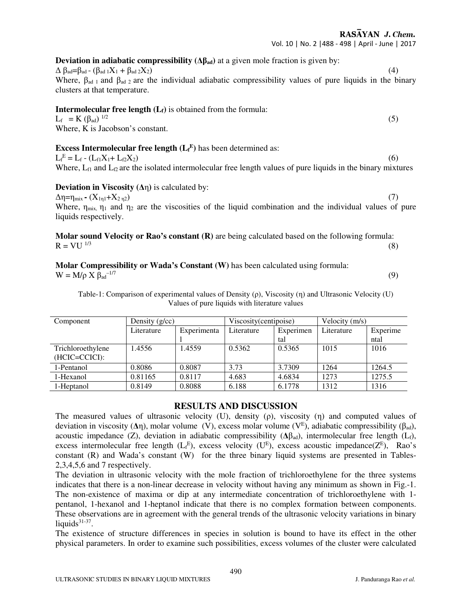RASAYAN J. Chem.

Vol. 10 | No. 2 |488 - 498 | April - June | 2017

**Deviation in adiabatic compressibility (** $Δβ<sub>ad</sub>$ **)** at a given mole fraction is given by:

 $\Delta \beta_{\text{ad}} = \beta_{\text{ad}} - (\beta_{\text{ad}} 1X_1 + \beta_{\text{ad}} 2X_2)$  (4) Where,  $\beta_{ad}$  1 and  $\beta_{ad}$  2 are the individual adiabatic compressibility values of pure liquids in the binary clusters at that temperature.

**Intermolecular free length (Lf)** is obtained from the formula:

 $L_f = K (\beta_{ad})^{1/2}$  (5)

Where, K is Jacobson's constant.

## **Excess Intermolecular free length (L<sup>f</sup> E )** has been determined as:

 $L_f^E = L_f - (L_{f1}X_1 + L_{f2}X_2)$  (6)

Where,  $L_{f1}$  and  $L_{f2}$  are the isolated intermolecular free length values of pure liquids in the binary mixtures

## **Deviation in Viscosity (∆**η**)** is calculated by:

 $\Delta \eta = \eta_{\text{mix}} \cdot (X_{1\eta} + X_{2\eta 2})$  (7) Where,  $\eta_{mix}$ ,  $\eta_1$  and  $\eta_2$  are the viscosities of the liquid combination and the individual values of pure liquids respectively.

**Molar sound Velocity or Rao's constant (R)** are being calculated based on the following formula:  $R = VU^{1/3}$  (8)

**Molar Compressibility or Wada's Constant (W)** has been calculated using formula:  $W = M/\rho X \beta_{ad}^{-1/7}$  $^{1/7}$  (9)

Table-1: Comparison of experimental values of Density (ρ), Viscosity (η) and Ultrasonic Velocity (U) Values of pure liquids with literature values

| Component                          | Density $(g/cc)$          |        | Viscosity (centipoise) |           | Velocity $(m/s)$ |          |
|------------------------------------|---------------------------|--------|------------------------|-----------|------------------|----------|
|                                    | Experimenta<br>Literature |        | Literature             | Experimen | Literature       | Experime |
|                                    |                           |        |                        | tal       |                  | ntal     |
| Trichloroethylene<br>(HCIC=CCICI): | 1.4556                    | 1.4559 | 0.5362                 | 0.5365    | 1015             | 1016     |
| 1-Pentanol                         | 0.8086                    | 0.8087 | 3.73                   | 3.7309    | 1264             | 1264.5   |
| 1-Hexanol                          | 0.81165                   | 0.8117 | 4.683                  | 4.6834    | 1273             | 1275.5   |
| 1-Heptanol                         | 0.8149                    | 0.8088 | 6.188                  | 6.1778    | 1312             | 1316     |

#### **RESULTS AND DISCUSSION**

The measured values of ultrasonic velocity (U), density (ρ), viscosity (η) and computed values of deviation in viscosity (**∆**η), molar volume (V), excess molar volume (V<sup>E</sup> ), adiabatic compressibility (βad), acoustic impedance (Z), deviation in adiabatic compressibility  $(\Delta \beta_{ad})$ , intermolecular free length (L<sub>t</sub>), excess intermolecular free length  $(L_f^E)$ , excess velocity ( $U^E$ ), excess acoustic impedance( $Z^E$ ), Rao's constant (R) and Wada's constant (W) for the three binary liquid systems are presented in Tables-2,3,4,5,6 and 7 respectively.

The deviation in ultrasonic velocity with the mole fraction of trichloroethylene for the three systems indicates that there is a non-linear decrease in velocity without having any minimum as shown in Fig.-1. The non-existence of maxima or dip at any intermediate concentration of trichloroethylene with 1 pentanol, 1-hexanol and 1-heptanol indicate that there is no complex formation between components. These observations are in agreement with the general trends of the ultrasonic velocity variations in binary  $liquids<sup>31-37</sup>$ .

The existence of structure differences in species in solution is bound to have its effect in the other physical parameters. In order to examine such possibilities, excess volumes of the cluster were calculated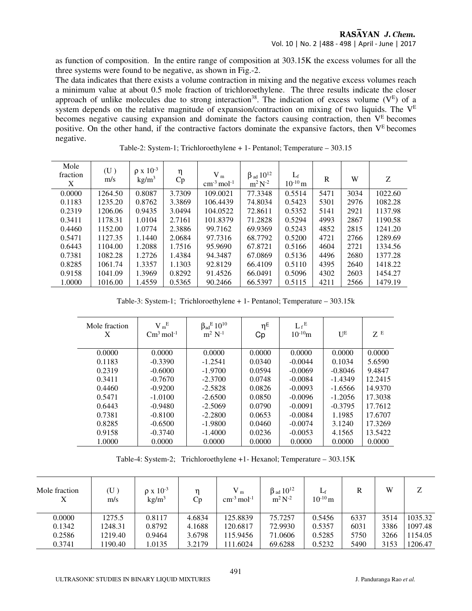as function of composition. In the entire range of composition at 303.15K the excess volumes for all the three systems were found to be negative, as shown in Fig.-2.

The data indicates that there exists a volume contraction in mixing and the negative excess volumes reach a minimum value at about 0.5 mole fraction of trichloroethylene. The three results indicate the closer approach of unlike molecules due to strong interaction<sup>38</sup>. The indication of excess volume ( $V^E$ ) of a system depends on the relative magnitude of expansion/contraction on mixing of two liquids. The V<sup>E</sup> becomes negative causing expansion and dominate the factors causing contraction, then  $V<sup>E</sup>$  becomes positive. On the other hand, if the contractive factors dominate the expansive factors, then  $V<sup>E</sup>$  becomes negative.

| Mole<br>fraction<br>X | (U)<br>m/s | $\rho$ x $10^{-3}$<br>kg/m <sup>3</sup> | η<br>Cp | $V_{\rm m}$<br>$cm-3 mol-1$ | $\beta$ ad $10^{12}$<br>$m^2 N^{-2}$ | $\rm L$ f<br>$10^{-10}$ m | R    | W    | Ζ       |
|-----------------------|------------|-----------------------------------------|---------|-----------------------------|--------------------------------------|---------------------------|------|------|---------|
| 0.0000                | 1264.50    | 0.8087                                  | 3.7309  | 109.0021                    | 77.3348                              | 0.5514                    | 5471 | 3034 | 1022.60 |
| 0.1183                | 1235.20    | 0.8762                                  | 3.3869  | 106.4439                    | 74.8034                              | 0.5423                    | 5301 | 2976 | 1082.28 |
| 0.2319                | 1206.06    | 0.9435                                  | 3.0494  | 104.0522                    | 72.8611                              | 0.5352                    | 5141 | 2921 | 1137.98 |
| 0.3411                | 1178.31    | 1.0104                                  | 2.7161  | 101.8379                    | 71.2828                              | 0.5294                    | 4993 | 2867 | 1190.58 |
| 0.4460                | 1152.00    | 1.0774                                  | 2.3886  | 99.7162                     | 69.9369                              | 0.5243                    | 4852 | 2815 | 1241.20 |
| 0.5471                | 1127.35    | 1.1440                                  | 2.0684  | 97.7316                     | 68.7792                              | 0.5200                    | 4721 | 2766 | 1289.69 |
| 0.6443                | 1104.00    | 1.2088                                  | 1.7516  | 95.9690                     | 67.8721                              | 0.5166                    | 4604 | 2721 | 1334.56 |
| 0.7381                | 1082.28    | 1.2726                                  | 1.4384  | 94.3487                     | 67.0869                              | 0.5136                    | 4496 | 2680 | 1377.28 |
| 0.8285                | 1061.74    | 1.3357                                  | 1.1303  | 92.8129                     | 66.4109                              | 0.5110                    | 4395 | 2640 | 1418.22 |
| 0.9158                | 1041.09    | 1.3969                                  | 0.8292  | 91.4526                     | 66.0491                              | 0.5096                    | 4302 | 2603 | 1454.27 |
| 1.0000                | 1016.00    | 1.4559                                  | 0.5365  | 90.2466                     | 66.5397                              | 0.5115                    | 4211 | 2566 | 1479.19 |

Table-2: System-1; Trichloroethylene + 1- Pentanol; Temperature – 303.15

Table-3: System-1; Trichloroethylene + 1- Pentanol; Temperature – 303.15k

| Mole fraction<br>X | $V_{m}^{E}$<br>$\mathrm{Cm}^3$ mol <sup>-1</sup> | $\beta_{ad}^E 10^{10}$<br>$\rm m^2$ $\rm N^{\text{-}1}$ | $\eta^E$<br>Cp | $L_f^E$<br>$10^{-10}$ m | $U^E$     | Z <sup>E</sup> |
|--------------------|--------------------------------------------------|---------------------------------------------------------|----------------|-------------------------|-----------|----------------|
| 0.0000             | 0.0000                                           | 0.0000                                                  | 0.0000         | 0.0000                  | 0.0000    | 0.0000         |
| 0.1183             | $-0.3390$                                        | $-1.2541$                                               | 0.0340         | $-0.0044$               | 0.1034    | 5.6590         |
| 0.2319             | $-0.6000$                                        | $-1.9700$                                               | 0.0594         | $-0.0069$               | $-0.8046$ | 9.4847         |
| 0.3411             | $-0.7670$                                        | $-2.3700$                                               | 0.0748         | $-0.0084$               | $-1.4349$ | 12.2415        |
| 0.4460             | $-0.9200$                                        | $-2.5828$                                               | 0.0826         | $-0.0093$               | $-1.6566$ | 14.9370        |
| 0.5471             | $-1.0100$                                        | $-2.6500$                                               | 0.0850         | $-0.0096$               | $-1.2056$ | 17.3038        |
| 0.6443             | $-0.9480$                                        | $-2.5069$                                               | 0.0790         | $-0.0091$               | $-0.3795$ | 17.7612        |
| 0.7381             | $-0.8100$                                        | $-2.2800$                                               | 0.0653         | $-0.0084$               | 1.1985    | 17.6707        |
| 0.8285             | $-0.6500$                                        | $-1.9800$                                               | 0.0460         | $-0.0074$               | 3.1240    | 17.3269        |
| 0.9158             | $-0.3740$                                        | $-1.4000$                                               | 0.0236         | $-0.0053$               | 4.1565    | 13.5422        |
| 1.0000             | 0.0000                                           | 0.0000                                                  | 0.0000         | 0.0000                  | 0.0000    | 0.0000         |

Table-4: System-2; Trichloroethylene +1- Hexanol; Temperature – 303.15K

| Mole fraction<br>Х | $(\mathrm{U\,})$<br>m/s | $\rho$ x $10^{-3}$<br>kg/m <sup>3</sup> | Cp     | $V_m$<br>$cm-3$ mol <sup>-1</sup> | $\beta$ ad $10^{12}$<br>$m^2 N^{-2}$ | $10^{-10}$ m | R    | W    | Ζ       |
|--------------------|-------------------------|-----------------------------------------|--------|-----------------------------------|--------------------------------------|--------------|------|------|---------|
| 0.0000             | 1275.5                  | 0.8117                                  | 4.6834 | 125.8839                          | 75.7257                              | 0.5456       | 6337 | 3514 | 1035.32 |
| 0.1342             | 1248.31                 | 0.8792                                  | 4.1688 | 120.6817                          | 72.9930                              | 0.5357       | 6031 | 3386 | 1097.48 |
| 0.2586             | 1219.40                 | 0.9464                                  | 3.6798 | 115.9456                          | 71.0606                              | 0.5285       | 5750 | 3266 | 1154.05 |
| 0.3741             | 190.40                  | 1.0135                                  | 3.2179 | 111.6024                          | 69.6288                              | 0.5232       | 5490 | 3153 | 1206.47 |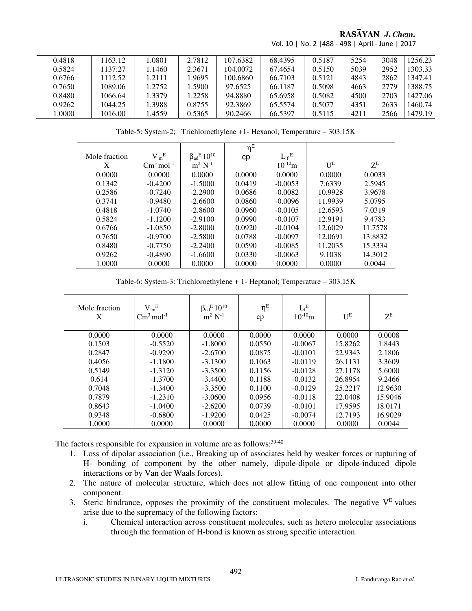# RASAYAN J. Chem.

| 0.4818 | 1163.12 | .0801  | 2.7812 | 107.6382 | 68.4395 | 0.5187 | 5254 | 3048 | 1256.23 |
|--------|---------|--------|--------|----------|---------|--------|------|------|---------|
| 0.5824 | 1137.27 | .1460  | 2.3671 | 104.0072 | 67.4654 | 0.5150 | 5039 | 2952 | 1303.33 |
| 0.6766 | 1112.52 | .2111  | .9695  | 100.6860 | 66.7103 | 0.5121 | 4843 | 2862 | 1347.41 |
| 0.7650 | 1089.06 | 1.2752 | .5900  | 97.6525  | 66.1187 | 0.5098 | 4663 | 2779 | 1388.75 |
| 0.8480 | 1066.64 | .3379  | .2258  | 94.8880  | 65.6958 | 0.5082 | 4500 | 2703 | 1427.06 |
| 0.9262 | 1044.25 | .3988  | 0.8755 | 92.3869  | 65.5574 | 0.5077 | 4351 | 2633 | 1460.74 |
| 0000.1 | 1016.00 | .4559  | 0.5365 | 90.2466  | 66.5397 | 0.5115 | 4211 | 2566 | 1479.19 |

Vol. 10 | No. 2 |488 - 498 | April - June | 2017

Table-5: System-2; Trichloroethylene +1- Hexanol; Temperature – 303.15K

|               |                                   |                               | $\eta^{\mathsf{E}}$ |              |         |         |
|---------------|-----------------------------------|-------------------------------|---------------------|--------------|---------|---------|
| Mole fraction | $V_{m}^{E}$                       | $\beta_{ad}^E 10^{10}$        | cp                  | $L_f^E$      |         |         |
| X             | $\mathrm{Cm}^3 \mathrm{mol}^{-1}$ | $\rm m^2$ $\rm N^{\text{-}1}$ |                     | $10^{-10}$ m | $U^E$   | $Z^E$   |
| 0.0000        | 0.0000                            | 0.0000                        | 0.0000              | 0.0000       | 0.0000  | 0.0033  |
| 0.1342        | $-0.4200$                         | $-1.5000$                     | 0.0419              | $-0.0053$    | 7.6339  | 2.5945  |
| 0.2586        | $-0.7240$                         | $-2.2900$                     | 0.0686              | $-0.0082$    | 10.9928 | 3.9678  |
| 0.3741        | $-0.9480$                         | $-2.6600$                     | 0.0860              | $-0.0096$    | 11.9939 | 5.0795  |
| 0.4818        | $-1.0740$                         | $-2.8600$                     | 0.0960              | $-0.0105$    | 12.6593 | 7.0319  |
| 0.5824        | $-1.1200$                         | $-2.9100$                     | 0.0990              | $-0.0107$    | 12.9191 | 9.4783  |
| 0.6766        | $-1.0850$                         | $-2.8000$                     | 0.0920              | $-0.0104$    | 12.6029 | 11.7578 |
| 0.7650        | $-0.9700$                         | $-2.5800$                     | 0.0788              | $-0.0097$    | 12.0691 | 13.8832 |
| 0.8480        | $-0.7750$                         | $-2.2400$                     | 0.0590              | $-0.0085$    | 11.2035 | 15.3334 |
| 0.9262        | $-0.4890$                         | $-1.6600$                     | 0.0330              | $-0.0063$    | 9.1038  | 14.3012 |
| 1.0000        | 0.0000                            | 0.0000                        | 0.0000              | 0.0000       | 0.0000  | 0.0044  |

Table-6: System-3: Trichloroethylene + 1- Heptanol; Temperature – 303.15K

| Mole fraction<br>X | $V_mE$<br>$\mathrm{Cm}^3 \mathrm{mol}^{-1}$ | $\beta_{ad}^E 10^{10}$<br>$m^2 N^{-1}$ | $\eta^{\rm E}$<br>cp | $L_f^E$<br>$10^{-10}$ m | $U^E$   | $Z^E$   |
|--------------------|---------------------------------------------|----------------------------------------|----------------------|-------------------------|---------|---------|
| 0.0000             | 0.0000                                      | 0.0000                                 | 0.0000               | 0.0000                  | 0.0000  | 0.0008  |
| 0.1503             | $-0.5520$                                   | $-1.8000$                              | 0.0550               | $-0.0067$               | 15.8262 | 1.8443  |
| 0.2847             | $-0.9290$                                   | $-2.6700$                              | 0.0875               | $-0.0101$               | 22.9343 | 2.1806  |
| 0.4056             | $-1.1800$                                   | $-3.1300$                              | 0.1063               | $-0.0119$               | 26.1131 | 3.3609  |
| 0.5149             | $-1.3120$                                   | $-3.3500$                              | 0.1156               | $-0.0128$               | 27.1178 | 5.6000  |
| 0.614              | $-1.3700$                                   | $-3.4400$                              | 0.1188               | $-0.0132$               | 26.8954 | 9.2466  |
| 0.7048             | $-1.3400$                                   | $-3.3500$                              | 0.1100               | $-0.0129$               | 25.2217 | 12.9630 |
| 0.7879             | $-1.2310$                                   | $-3.0600$                              | 0.0956               | $-0.0118$               | 22.0408 | 15.9046 |
| 0.8643             | $-1.0400$                                   | $-2.6200$                              | 0.0739               | $-0.0101$               | 17.9595 | 18.0171 |
| 0.9348             | $-0.6800$                                   | $-1.9200$                              | 0.0425               | $-0.0074$               | 12.7193 | 16.9029 |
| 1.0000             | 0.0000                                      | 0.0000                                 | 0.0000               | 0.0000                  | 0.0000  | 0.0044  |

The factors responsible for expansion in volume are as follows: 39-40

- 1. Loss of dipolar association (i.e., Breaking up of associates held by weaker forces or rupturing of H- bonding of component by the other namely, dipole-dipole or dipole-induced dipole interactions or by Van der Waals forces).
- 2. The nature of molecular structure, which does not allow fitting of one component into other component.
- 3. Steric hindrance, opposes the proximity of the constituent molecules. The negative  $V<sup>E</sup>$  values arise due to the supremacy of the following factors:
	- i. Chemical interaction across constituent molecules, such as hetero molecular associations through the formation of H-bond is known as strong specific interaction.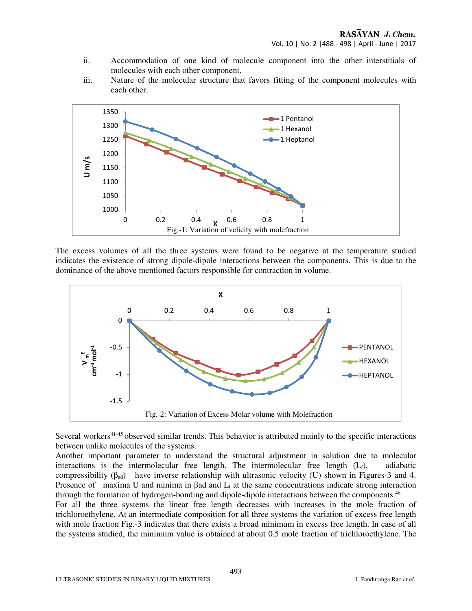- ii. Accommodation of one kind of molecule component into the other interstitials of molecules with each other component.
- iii. Nature of the molecular structure that favors fitting of the component molecules with each other.



The excess volumes of all the three systems were found to be negative at the temperature studied indicates the existence of strong dipole-dipole interactions between the components. This is due to the dominance of the above mentioned factors responsible for contraction in volume.



Several workers<sup>41-45</sup> observed similar trends. This behavior is attributed mainly to the specific interactions between unlike molecules of the systems.

Another important parameter to understand the structural adjustment in solution due to molecular interactions is the intermolecular free length. The intermolecular free length  $(L_f)$ , adiabatic compressibility  $(\beta_{ad})$  have inverse relationship with ultrasonic velocity (U) shown in Figures-3 and 4. Presence of maxima U and minima in βad and  $L_f$  at the same concentrations indicate strong interaction through the formation of hydrogen-bonding and dipole-dipole interactions between the components.<sup>46</sup>

For all the three systems the linear free length decreases with increases in the mole fraction of trichloroethylene. At an intermediate composition for all three systems the variation of excess free length with mole fraction Fig.-3 indicates that there exists a broad minimum in excess free length. In case of all the systems studied, the minimum value is obtained at about 0.5 mole fraction of trichloroethylene. The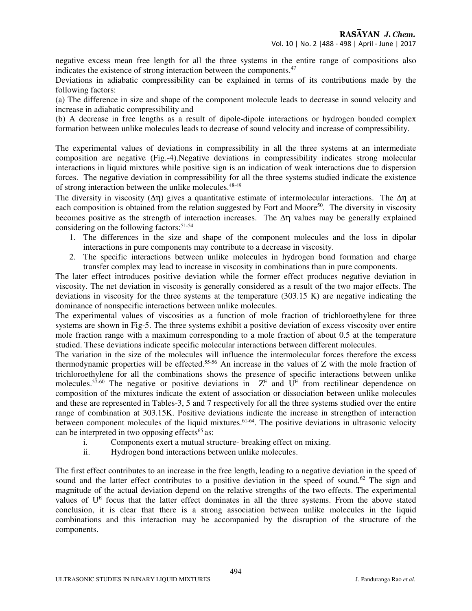negative excess mean free length for all the three systems in the entire range of compositions also indicates the existence of strong interaction between the components.<sup>47</sup>

Deviations in adiabatic compressibility can be explained in terms of its contributions made by the following factors:

(a) The difference in size and shape of the component molecule leads to decrease in sound velocity and increase in adiabatic compressibility and

(b) A decrease in free lengths as a result of dipole-dipole interactions or hydrogen bonded complex formation between unlike molecules leads to decrease of sound velocity and increase of compressibility.

The experimental values of deviations in compressibility in all the three systems at an intermediate composition are negative (Fig.-4).Negative deviations in compressibility indicates strong molecular interactions in liquid mixtures while positive sign is an indication of weak interactions due to dispersion forces. The negative deviation in compressibility for all the three systems studied indicate the existence of strong interaction between the unlike molecules.48-49

The diversity in viscosity  $(\Delta \eta)$  gives a quantitative estimate of intermolecular interactions. The  $\Delta \eta$  at each composition is obtained from the relation suggested by Fort and Moore<sup>50</sup>. The diversity in viscosity becomes positive as the strength of interaction increases. The ∆η values may be generally explained considering on the following factors:  $51-54$ 

- 1. The differences in the size and shape of the component molecules and the loss in dipolar interactions in pure components may contribute to a decrease in viscosity.
- 2. The specific interactions between unlike molecules in hydrogen bond formation and charge transfer complex may lead to increase in viscosity in combinations than in pure components.

The later effect introduces positive deviation while the former effect produces negative deviation in viscosity. The net deviation in viscosity is generally considered as a result of the two major effects. The deviations in viscosity for the three systems at the temperature (303.15 K) are negative indicating the dominance of nonspecific interactions between unlike molecules.

The experimental values of viscosities as a function of mole fraction of trichloroethylene for three systems are shown in Fig-5. The three systems exhibit a positive deviation of excess viscosity over entire mole fraction range with a maximum corresponding to a mole fraction of about 0.5 at the temperature studied. These deviations indicate specific molecular interactions between different molecules.

The variation in the size of the molecules will influence the intermolecular forces therefore the excess thermodynamic properties will be effected.55-56 An increase in the values of Z with the mole fraction of trichloroethylene for all the combinations shows the presence of specific interactions between unlike molecules.<sup>57-60</sup> The negative or positive deviations in  $Z^E$  and  $U^E$  from rectilinear dependence on composition of the mixtures indicate the extent of association or dissociation between unlike molecules and these are represented in Tables-3, 5 and 7 respectively for all the three systems studied over the entire range of combination at 303.15K. Positive deviations indicate the increase in strengthen of interaction between component molecules of the liquid mixtures.<sup> $61-64$ </sup>. The positive deviations in ultrasonic velocity can be interpreted in two opposing effects $65$  as:

- i. Components exert a mutual structure- breaking effect on mixing.
- ii. Hydrogen bond interactions between unlike molecules.

The first effect contributes to an increase in the free length, leading to a negative deviation in the speed of sound and the latter effect contributes to a positive deviation in the speed of sound.<sup>62</sup> The sign and magnitude of the actual deviation depend on the relative strengths of the two effects. The experimental values of U<sup>E</sup> focus that the latter effect dominates in all the three systems. From the above stated conclusion, it is clear that there is a strong association between unlike molecules in the liquid combinations and this interaction may be accompanied by the disruption of the structure of the components.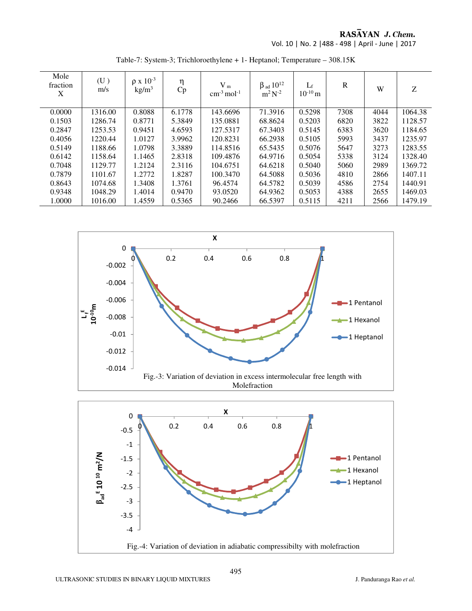RASĀYAN J. Chem.

Vol. 10 | No. 2 |488 - 498 | April - June | 2017

| Mole<br>fraction<br>X | (U)<br>m/s | $\rho$ x $10^{-3}$<br>kg/m <sup>3</sup> | η<br>Cp | $V_{\rm m}$<br>$cm-3$ mol <sup>-1</sup> | $\beta$ ad $10^{12}$<br>$m^2 N^{-2}$ | $L_f$<br>$10^{-10}$ m | $\mathbf R$ | W    | Ζ       |
|-----------------------|------------|-----------------------------------------|---------|-----------------------------------------|--------------------------------------|-----------------------|-------------|------|---------|
| 0.0000                | 1316.00    | 0.8088                                  | 6.1778  | 143.6696                                | 71.3916                              | 0.5298                | 7308        | 4044 | 1064.38 |
| 0.1503                | 1286.74    | 0.8771                                  | 5.3849  | 135.0881                                | 68.8624                              | 0.5203                | 6820        | 3822 | 1128.57 |
| 0.2847                | 1253.53    | 0.9451                                  | 4.6593  | 127.5317                                | 67.3403                              | 0.5145                | 6383        | 3620 | 1184.65 |
| 0.4056                | 1220.44    | 1.0127                                  | 3.9962  | 120.8231                                | 66.2938                              | 0.5105                | 5993        | 3437 | 1235.97 |
| 0.5149                | 1188.66    | 1.0798                                  | 3.3889  | 114.8516                                | 65.5435                              | 0.5076                | 5647        | 3273 | 1283.55 |
| 0.6142                | 1158.64    | 1.1465                                  | 2.8318  | 109.4876                                | 64.9716                              | 0.5054                | 5338        | 3124 | 1328.40 |
| 0.7048                | 1129.77    | 1.2124                                  | 2.3116  | 104.6751                                | 64.6218                              | 0.5040                | 5060        | 2989 | 1369.72 |
| 0.7879                | 1101.67    | 1.2772                                  | 1.8287  | 100.3470                                | 64.5088                              | 0.5036                | 4810        | 2866 | 1407.11 |
| 0.8643                | 1074.68    | 1.3408                                  | 1.3761  | 96.4574                                 | 64.5782                              | 0.5039                | 4586        | 2754 | 1440.91 |
| 0.9348                | 1048.29    | 1.4014                                  | 0.9470  | 93.0520                                 | 64.9362                              | 0.5053                | 4388        | 2655 | 1469.03 |
| 1.0000                | 1016.00    | 1.4559                                  | 0.5365  | 90.2466                                 | 66.5397                              | 0.5115                | 4211        | 2566 | 1479.19 |
|                       |            |                                         |         |                                         |                                      |                       |             |      |         |

Table-7: System-3; Trichloroethylene + 1- Heptanol; Temperature – 308.15K



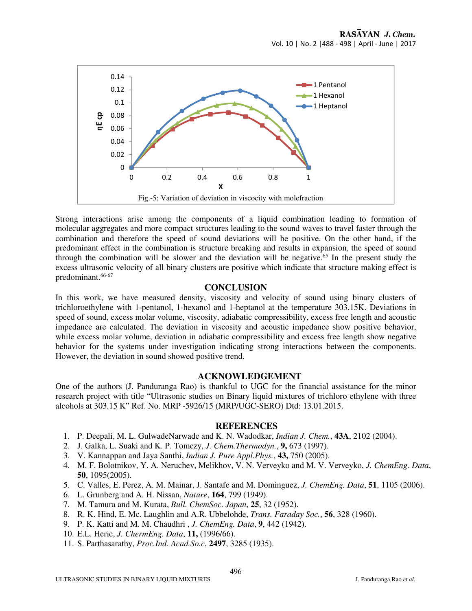

Strong interactions arise among the components of a liquid combination leading to formation of molecular aggregates and more compact structures leading to the sound waves to travel faster through the combination and therefore the speed of sound deviations will be positive. On the other hand, if the predominant effect in the combination is structure breaking and results in expansion, the speed of sound through the combination will be slower and the deviation will be negative.<sup>65</sup> In the present study the excess ultrasonic velocity of all binary clusters are positive which indicate that structure making effect is predominant.<sup>66-67</sup>

#### **CONCLUSION**

In this work, we have measured density, viscosity and velocity of sound using binary clusters of trichloroethylene with 1-pentanol, 1-hexanol and 1-heptanol at the temperature 303.15K. Deviations in speed of sound, excess molar volume, viscosity, adiabatic compressibility, excess free length and acoustic impedance are calculated. The deviation in viscosity and acoustic impedance show positive behavior, while excess molar volume, deviation in adiabatic compressibility and excess free length show negative behavior for the systems under investigation indicating strong interactions between the components. However, the deviation in sound showed positive trend.

#### **ACKNOWLEDGEMENT**

One of the authors (J. Panduranga Rao) is thankful to UGC for the financial assistance for the minor research project with title "Ultrasonic studies on Binary liquid mixtures of trichloro ethylene with three alcohols at 303.15 K" Ref. No. MRP -5926/15 (MRP/UGC-SERO) Dtd: 13.01.2015.

#### **REFERENCES**

- 1. P. Deepali, M. L. GulwadeNarwade and K. N. Wadodkar, *Indian J. Chem.*, **43A**, 2102 (2004).
- 2. J. Galka, L. Suaki and K. P. Tomczy, *J. Chem.Thermodyn.*, **9,** 673 (1997).
- 3. V. Kannappan and Jaya Santhi, *Indian J. Pure Appl.Phys.*, **43,** 750 (2005).
- 4. M. F. Bolotnikov, Y. A. Neruchev, Melikhov, V. N. Verveyko and M. V. Verveyko, *J. ChemEng. Data*, **50**, 1095(2005).
- 5. C. Valles, E. Perez, A. M. Mainar, J. Santafe and M. Dominguez, *J. ChemEng. Data*, **51**, 1105 (2006).
- 6. L. Grunberg and A. H. Nissan, *Nature*, **164**, 799 (1949).
- 7. M. Tamura and M. Kurata, *Bull. ChemSoc. Japan*, **25**, 32 (1952).
- 8. R. K. Hind, E. Mc. Laughlin and A.R. Ubbelohde, *Trans. Faraday Soc.*, **56**, 328 (1960).
- 9. P. K. Katti and M. M. Chaudhri , *J. ChemEng. Data*, **9**, 442 (1942).
- 10. E.L. Heric, *J. ChermEng. Data*, **11,** (1996/66).
- 11. S. Parthasarathy, *Proc.Ind. Acad.So.c*, **2497**, 3285 (1935).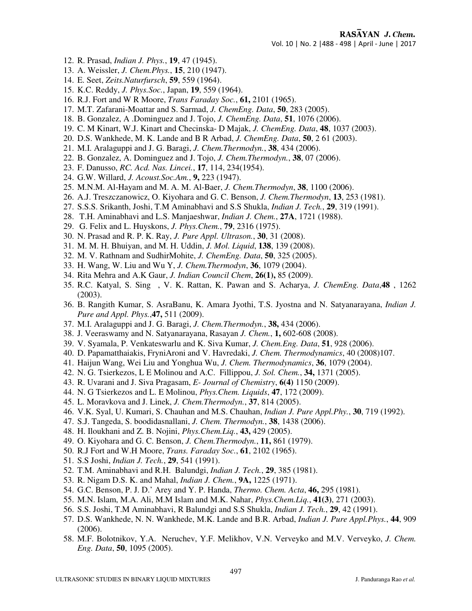- 12. R. Prasad, *Indian J. Phys.*, **19**, 47 (1945).
- 13. A. Weissler, *J. Chem.Phys.*, **15**, 210 (1947).
- 14. E. Seet, *Zeits.Naturfursch*, **59**, 559 (1964).
- 15. K.C. Reddy, *J. Phys.Soc.*, Japan, **19**, 559 (1964).
- 16. R.J. Fort and W R Moore, *Trans Faraday Soc.*, **61,** 2101 (1965).
- 17. M.T. Zafarani-Moattar and S. Sarmad, *J. ChemEng. Data*, **50**, 283 (2005).
- 18. B. Gonzalez, A .Dominguez and J. Tojo, *J. ChemEng. Data*, **51**, 1076 (2006).
- 19. C. M Kinart, W.J. Kinart and Checinska- D Majak, *J. ChemEng. Data*, **48**, 1037 (2003).
- 20. D.S. Wankhede, M. K. Lande and B R Arbad, *J. ChemEng. Data*, **50**, 2 61 (2003).
- 21. M.I. Aralaguppi and J. G. Baragi, *J. Chem.Thermodyn.*, **38**, 434 (2006).
- 22. B. Gonzalez, A. Dominguez and J. Tojo, *J. Chem.Thermodyn.*, **38**, 07 (2006).
- 23. F. Danusso, *RC. Acd. Nas. Lincei.*, **17**, 114, 234(1954).
- 24. G.W. Willard, *J. Acoust.Soc.Am.*, **9,** 223 (1947).
- 25. M.N.M. Al-Hayam and M. A. M. Al-Baer, *J. Chem.Thermodyn*, **38**, 1100 (2006).
- 26. A.J. Treszczanowicz, O. Kiyohara and G. C. Benson, *J. Chem.Thermodyn*, **13**, 253 (1981).
- 27. S.S.S. Srikanth, Joshi, T.M Aminabhavi and S.S Shukla, *Indian J. Tech.*, **29**, 319 (1991).
- 28. T.H. Aminabhavi and L.S. Manjaeshwar, *Indian J. Chem.*, **27A**, 1721 (1988).
- 29. G. Felix and L. Huyskons, *J. Phys.Chem.*, **79**, 2316 (1975).
- 30. N. Prasad and R. P. K. Ray, *J. Pure Appl. Ultrason.*, **30**, 31 (2008).
- 31. M. M. H. Bhuiyan, and M. H. Uddin, *J. Mol. Liquid*, **138**, 139 (2008).
- 32. M. V. Rathnam and SudhirMohite, *J. ChemEng. Data*, **50**, 325 (2005).
- 33. H. Wang, W. Liu and Wu Y, *J. Chem.Thermodyn*, **36**, 1079 (2004).
- 34. Rita Mehra and A.K Gaur, *J. Indian Council Chem*, **26(1),** 85 **(**2009).
- 35. R.C. Katyal, S. Sing , V. K. Rattan, K. Pawan and S. Acharya, *J. ChemEng. Data*,**48** , 1262 (2003).
- 36. B. Rangith Kumar, S. AsraBanu, K. Amara Jyothi, T.S. Jyostna and N. Satyanarayana, *Indian J. Pure and Appl. Phys.*,**47,** 511 (2009).
- 37. M.I. Aralaguppi and J. G. Baragi, *J. Chem.Thermodyn.*, **38,** 434 (2006).
- 38. J. Veeraswamy and N. Satyanarayana, Rasayan *J. Chem.*, **1,** 602-608 (2008).
- 39. V. Syamala, P. Venkateswarlu and K. Siva Kumar, *J. Chem.Eng. Data*, **51**, 928 (2006).
- 40. D. Papamatthaiakis, FryniAroni and V. Havredaki, *J. Chem. Thermodynamics*, 40 (2008)107.
- 41. Haijun Wang, Wei Liu and Yonghua Wu, *J. Chem. Thermodynamics*, **36**, 1079 (2004).
- 42. N. G. Tsierkezos, L E Molinou and A.C. Fillippou, *J. Sol. Chem.*, **34,** 1371 (2005).
- 43. R. Uvarani and J. Siva Pragasam, *E- Journal of Chemistry*, **6(4)** 1150 (2009).
- 44. N. G Tsierkezos and L. E Molinou, *Phys.Chem. Liquids*, **47**, 172 (2009).
- 45. L. Moravkova and J. Linek, *J. Chem.Thermodyn.*, **37**, 814 (2005).
- 46. V.K. Syal, U. Kumari, S. Chauhan and M.S. Chauhan, *Indian J. Pure Appl.Phy.*, **30**, 719 (1992).
- 47. S.J. Tangeda, S. boodidasnallani, *J. Chem. Thermodyn.*, **38**, 1438 (2006).
- 48. H. Iloukhani and Z. B. Nojini, *Phys.Chem.Liq.*, **43,** 429 (2005).
- 49. O. Kiyohara and G. C. Benson, *J. Chem.Thermodyn.*, **11,** 861 (1979).
- 50. R.J Fort and W.H Moore, *Trans. Faraday Soc.*, **61**, 2102 (1965).
- 51. S.S Joshi, *Indian J. Tech.*, **29**, 541 (1991).
- 52. T.M. Aminabhavi and R.H. Balundgi, *Indian J. Tech.*, **29**, 385 (1981).
- 53. R. Nigam D.S. K. and Mahal, *Indian J. Chem.*, **9A,** 1225 (1971).
- 54. G.C. Benson, P. J. D.' Arey and Y. P. Handa, *Thermo. Chem. Acta*, **46,** 295 (1981).
- 55. M.N. Islam, M.A. Ali, M.M Islam and M.K. Nahar, *Phys.Chem.Liq.*, **41(3)**, 271 (2003).
- 56. S.S. Joshi, T.M Aminabhavi, R Balundgi and S.S Shukla, *Indian J. Tech.*, **29**, 42 (1991).
- 57. D.S. Wankhede, N. N. Wankhede, M.K. Lande and B.R. Arbad, *Indian J. Pure Appl.Phys.*, **44**, 909 (2006).
- 58. M.F. Bolotnikov, Y.A. Neruchev, Y.F. Melikhov, V.N. Verveyko and M.V. Verveyko, *J. Chem. Eng. Data*, **50**, 1095 (2005).